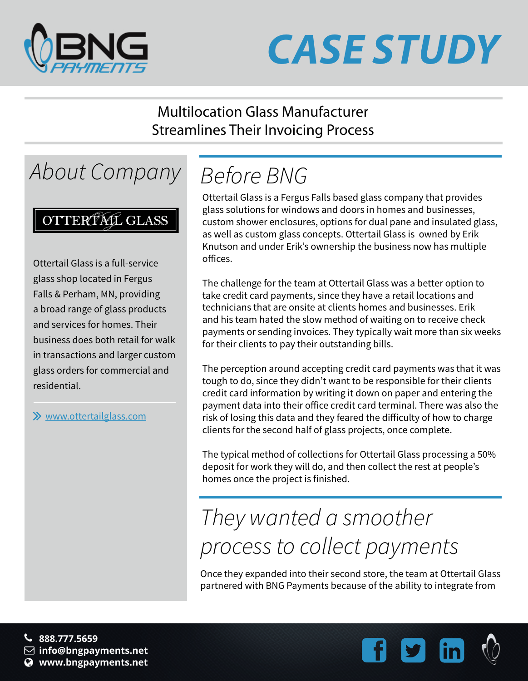

# *CASE STUDY*

#### Multilocation Glass Manufacturer Streamlines Their Invoicing Process

### *About Company*

#### OTTERPAL GLASS

Ottertail Glass is a full-service glass shop located in Fergus Falls & Perham, MN, providing a broad range of glass products and services for homes. Their business does both retail for walk in transactions and larger custom glass orders for commercial and residential.

www.ottertailglass.com

# *Before BNG*

Ottertail Glass is a Fergus Falls based glass company that provides glass solutions for windows and doors in homes and businesses, custom shower enclosures, options for dual pane and insulated glass, as well as custom glass concepts. Ottertail Glass is owned by Erik Knutson and under Erik's ownership the business now has multiple offices.

The challenge for the team at Ottertail Glass was a better option to take credit card payments, since they have a retail locations and technicians that are onsite at clients homes and businesses. Erik and his team hated the slow method of waiting on to receive check payments or sending invoices. They typically wait more than six weeks for their clients to pay their outstanding bills.

The perception around accepting credit card payments was that it was tough to do, since they didn't want to be responsible for their clients credit card information by writing it down on paper and entering the payment data into their office credit card terminal. There was also the risk of losing this data and they feared the difficulty of how to charge clients for the second half of glass projects, once complete.

The typical method of collections for Ottertail Glass processing a 50% deposit for work they will do, and then collect the rest at people's homes once the project is finished.

## *They wanted a smoother process to collect payments*

Once they expanded into their second store, the team at Ottertail Glass partnered with BNG Payments because of the ability to integrate from

**888.777.5659 info@bngpayments.net www.bngpayments.net**